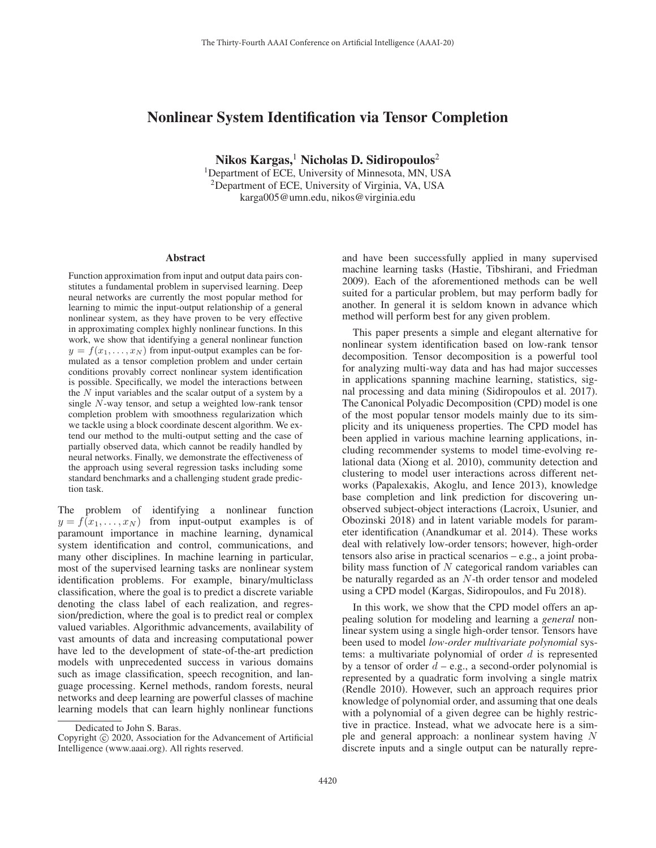# Nonlinear System Identification via Tensor Completion

Nikos Kargas,<sup>1</sup> Nicholas D. Sidiropoulos<sup>2</sup> <sup>1</sup>Department of ECE, University of Minnesota, MN, USA 2Department of ECE, University of Virginia, VA, USA karga005@umn.edu, nikos@virginia.edu

#### Abstract

Function approximation from input and output data pairs constitutes a fundamental problem in supervised learning. Deep neural networks are currently the most popular method for learning to mimic the input-output relationship of a general nonlinear system, as they have proven to be very effective in approximating complex highly nonlinear functions. In this work, we show that identifying a general nonlinear function  $y = f(x_1,...,x_N)$  from input-output examples can be formulated as a tensor completion problem and under certain conditions provably correct nonlinear system identification is possible. Specifically, we model the interactions between the N input variables and the scalar output of a system by a single N-way tensor, and setup a weighted low-rank tensor completion problem with smoothness regularization which we tackle using a block coordinate descent algorithm. We extend our method to the multi-output setting and the case of partially observed data, which cannot be readily handled by neural networks. Finally, we demonstrate the effectiveness of the approach using several regression tasks including some standard benchmarks and a challenging student grade prediction task.

The problem of identifying a nonlinear function  $y = f(x_1,...,x_N)$  from input-output examples is of paramount importance in machine learning, dynamical system identification and control, communications, and many other disciplines. In machine learning in particular, most of the supervised learning tasks are nonlinear system identification problems. For example, binary/multiclass classification, where the goal is to predict a discrete variable denoting the class label of each realization, and regression/prediction, where the goal is to predict real or complex valued variables. Algorithmic advancements, availability of vast amounts of data and increasing computational power have led to the development of state-of-the-art prediction models with unprecedented success in various domains such as image classification, speech recognition, and language processing. Kernel methods, random forests, neural networks and deep learning are powerful classes of machine learning models that can learn highly nonlinear functions

and have been successfully applied in many supervised machine learning tasks (Hastie, Tibshirani, and Friedman 2009). Each of the aforementioned methods can be well suited for a particular problem, but may perform badly for another. In general it is seldom known in advance which method will perform best for any given problem.

This paper presents a simple and elegant alternative for nonlinear system identification based on low-rank tensor decomposition. Tensor decomposition is a powerful tool for analyzing multi-way data and has had major successes in applications spanning machine learning, statistics, signal processing and data mining (Sidiropoulos et al. 2017). The Canonical Polyadic Decomposition (CPD) model is one of the most popular tensor models mainly due to its simplicity and its uniqueness properties. The CPD model has been applied in various machine learning applications, including recommender systems to model time-evolving relational data (Xiong et al. 2010), community detection and clustering to model user interactions across different networks (Papalexakis, Akoglu, and Ience 2013), knowledge base completion and link prediction for discovering unobserved subject-object interactions (Lacroix, Usunier, and Obozinski 2018) and in latent variable models for parameter identification (Anandkumar et al. 2014). These works deal with relatively low-order tensors; however, high-order tensors also arise in practical scenarios – e.g., a joint probability mass function of N categorical random variables can be naturally regarded as an N-th order tensor and modeled using a CPD model (Kargas, Sidiropoulos, and Fu 2018).

In this work, we show that the CPD model offers an appealing solution for modeling and learning a *general* nonlinear system using a single high-order tensor. Tensors have been used to model *low-order multivariate polynomial* systems: a multivariate polynomial of order  $d$  is represented by a tensor of order  $d - e.g.,$  a second-order polynomial is represented by a quadratic form involving a single matrix (Rendle 2010). However, such an approach requires prior knowledge of polynomial order, and assuming that one deals with a polynomial of a given degree can be highly restrictive in practice. Instead, what we advocate here is a simple and general approach: a nonlinear system having N discrete inputs and a single output can be naturally repre-

Dedicated to John S. Baras.

Copyright  $\odot$  2020, Association for the Advancement of Artificial Intelligence (www.aaai.org). All rights reserved.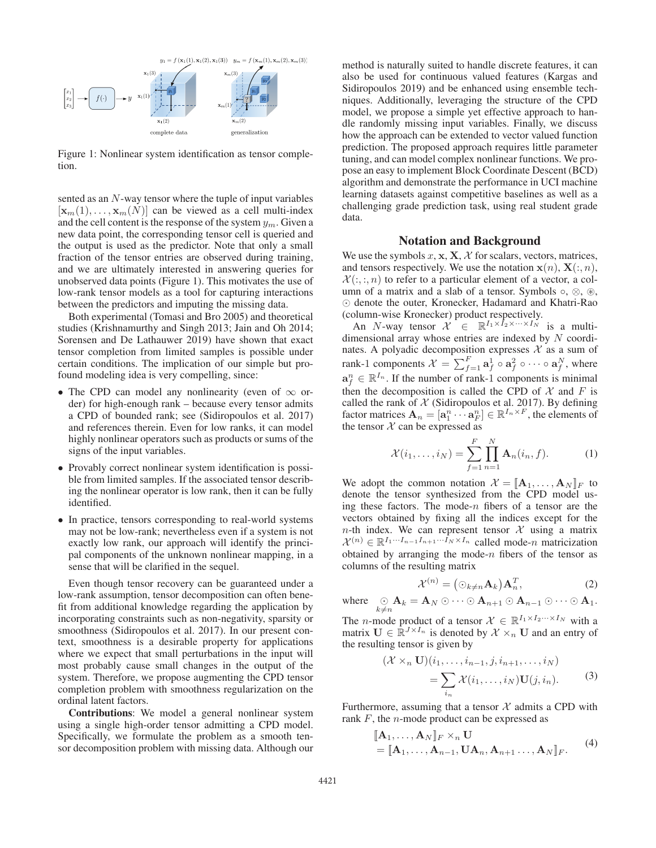

Figure 1: Nonlinear system identification as tensor completion.

sented as an N-way tensor where the tuple of input variables  $[\mathbf{x}_m(1), \ldots, \mathbf{x}_m(N)]$  can be viewed as a cell multi-index and the cell content is the response of the system  $y_m$ . Given a new data point, the corresponding tensor cell is queried and the output is used as the predictor. Note that only a small fraction of the tensor entries are observed during training, and we are ultimately interested in answering queries for unobserved data points (Figure 1). This motivates the use of low-rank tensor models as a tool for capturing interactions between the predictors and imputing the missing data.

Both experimental (Tomasi and Bro 2005) and theoretical studies (Krishnamurthy and Singh 2013; Jain and Oh 2014; Sorensen and De Lathauwer 2019) have shown that exact tensor completion from limited samples is possible under certain conditions. The implication of our simple but profound modeling idea is very compelling, since:

- The CPD can model any nonlinearity (even of  $\infty$  order) for high-enough rank – because every tensor admits a CPD of bounded rank; see (Sidiropoulos et al. 2017) and references therein. Even for low ranks, it can model highly nonlinear operators such as products or sums of the signs of the input variables.
- Provably correct nonlinear system identification is possible from limited samples. If the associated tensor describing the nonlinear operator is low rank, then it can be fully identified.
- In practice, tensors corresponding to real-world systems may not be low-rank; nevertheless even if a system is not exactly low rank, our approach will identify the principal components of the unknown nonlinear mapping, in a sense that will be clarified in the sequel.

Even though tensor recovery can be guaranteed under a low-rank assumption, tensor decomposition can often benefit from additional knowledge regarding the application by incorporating constraints such as non-negativity, sparsity or smoothness (Sidiropoulos et al. 2017). In our present context, smoothness is a desirable property for applications where we expect that small perturbations in the input will most probably cause small changes in the output of the system. Therefore, we propose augmenting the CPD tensor completion problem with smoothness regularization on the ordinal latent factors.

Contributions: We model a general nonlinear system using a single high-order tensor admitting a CPD model. Specifically, we formulate the problem as a smooth tensor decomposition problem with missing data. Although our

method is naturally suited to handle discrete features, it can also be used for continuous valued features (Kargas and Sidiropoulos 2019) and be enhanced using ensemble techniques. Additionally, leveraging the structure of the CPD model, we propose a simple yet effective approach to handle randomly missing input variables. Finally, we discuss how the approach can be extended to vector valued function prediction. The proposed approach requires little parameter tuning, and can model complex nonlinear functions. We propose an easy to implement Block Coordinate Descent (BCD) algorithm and demonstrate the performance in UCI machine learning datasets against competitive baselines as well as a challenging grade prediction task, using real student grade data.

# Notation and Background

We use the symbols  $x$ ,  $x$ ,  $X$ ,  $X$  for scalars, vectors, matrices, and tensors respectively. We use the notation  $\mathbf{x}(n)$ ,  $\mathbf{X}(:,n)$ ,  $\mathcal{X}(\cdot,\cdot,n)$  to refer to a particular element of a vector, a column of a matrix and a slab of a tensor. Symbols  $\circ$ ,  $\otimes$ ,  $\circledast$ ,  $\odot$  denote the outer, Kronecker, Hadamard and Khatri-Rao (column-wise Kronecker) product respectively.

An N-way tensor  $\mathcal{X} \in \mathbb{R}^{I_1 \times \tilde{I}_2 \times \cdots \times I_N}$  is a multidimensional array whose entries are indexed by N coordinates. A polyadic decomposition expresses  $\mathcal X$  as a sum of rank-1 components  $\mathcal{X} = \sum_{f=1}^{F} \mathbf{a}_f^1 \circ \mathbf{a}_f^2 \circ \cdots \circ \mathbf{a}_f^N$ , where  $\mathbf{a}_f^n \in \mathbb{R}^{I_n}$ . If the number of rank-1 components is minimal then the decomposition is called the CPD of  $X$  and  $F$  is called the rank of  $X$  (Sidiropoulos et al. 2017). By defining factor matrices  $\mathbf{A}_n = [\mathbf{a}_1^n \cdots \mathbf{a}_F^n] \in \mathbb{R}^{I_n \times F}$ , the elements of the tensor  $X$  can be expressed as

$$
\mathcal{X}(i_1, ..., i_N) = \sum_{f=1}^{F} \prod_{n=1}^{N} \mathbf{A}_n(i_n, f).
$$
 (1)

We adopt the common notation  $\mathcal{X} = [\mathbf{A}_1, \dots, \mathbf{A}_N]_F$  to denote the tensor synthesized from the CPD model using these factors. The mode- $n$  fibers of a tensor are the vectors obtained by fixing all the indices except for the  $n$ -th index. We can represent tensor  $X$  using a matrix  $\mathcal{X}^{(n)} \in \mathbb{R}^{I_1 \cdots I_{n-1} I_{n+1} \cdots \tilde{I}_N \times I_n}$  called mode-*n* matricization obtained by arranging the mode- $n$  fibers of the tensor as columns of the resulting matrix

$$
\mathcal{X}^{(n)} = (\odot_{k \neq n} \mathbf{A}_k) \mathbf{A}_n^T, \tag{2}
$$

where  $\bigcirc_{k \neq n} \mathbf{A}_k = \mathbf{A}_N \odot \cdots \odot \mathbf{A}_{n+1} \odot \mathbf{A}_{n-1} \odot \cdots \odot \mathbf{A}_1.$ 

The *n*-mode product of a tensor  $\mathcal{X} \in \mathbb{R}^{I_1 \times I_2 \cdots \times I_N}$  with a matrix  $\mathbf{U} \in \mathbb{R}^{J \times I_n}$  is denoted by  $\mathcal{X} \times_n \mathbf{U}$  and an entry of the resulting tensor is given by

$$
(\mathcal{X} \times_n \mathbf{U})(i_1, \dots, i_{n-1}, j, i_{n+1}, \dots, i_N)
$$
  
= 
$$
\sum_{i_n} \mathcal{X}(i_1, \dots, i_N) \mathbf{U}(j, i_n).
$$
 (3)

Furthermore, assuming that a tensor  $X$  admits a CPD with rank  $F$ , the *n*-mode product can be expressed as

$$
\begin{aligned} [\mathbf{A}_1, \dots, \mathbf{A}_N]_F &\times_n \mathbf{U} \\ &= [\![\mathbf{A}_1, \dots, \mathbf{A}_{n-1}, \mathbf{U}\mathbf{A}_n, \mathbf{A}_{n+1} \dots, \mathbf{A}_N]\!]_F. \end{aligned} \tag{4}
$$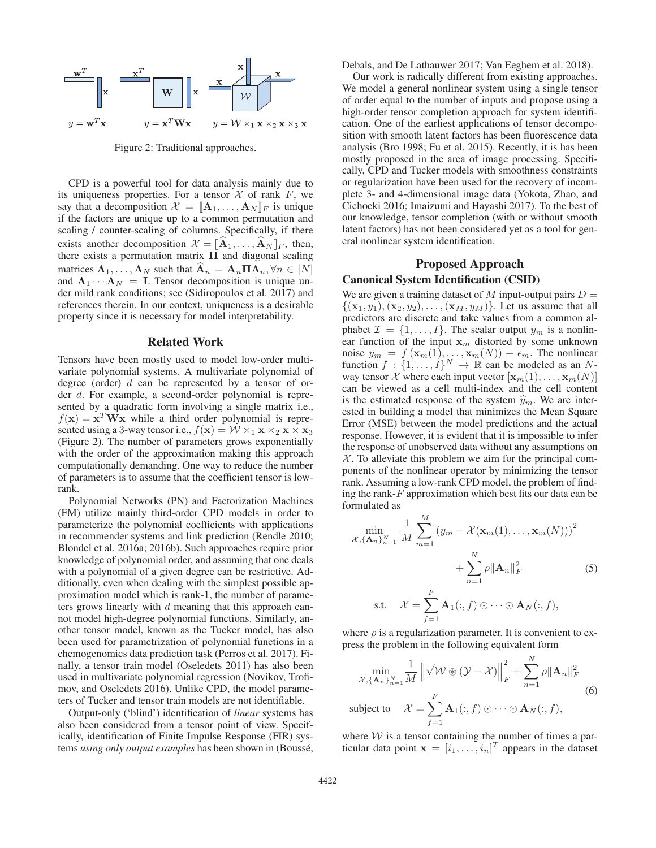

Figure 2: Traditional approaches.

CPD is a powerful tool for data analysis mainly due to its uniqueness properties. For a tensor  $X$  of rank  $F$ , we say that a decomposition  $\mathcal{X} = [\mathbf{A}_1, \dots, \mathbf{A}_N]_F$  is unique if the factors are unique up to a common permutation and scaling / counter-scaling of columns. Specifically, if there exists another decomposition  $\mathcal{X} = [\mathbf{A}_1, \dots, \mathbf{A}_N]_F$ , then, there exists a permutation matrix **Π** and diagonal scaling matrices  $\Lambda_1, \ldots, \Lambda_N$  such that  $\mathbf{A}_n = \mathbf{A}_n \mathbf{\Pi} \Lambda_n, \forall n \in [N]$ and  $\Lambda_1 \cdots \Lambda_N = I$ . Tensor decomposition is unique under mild rank conditions; see (Sidiropoulos et al. 2017) and references therein. In our context, uniqueness is a desirable property since it is necessary for model interpretability.

#### Related Work

Tensors have been mostly used to model low-order multivariate polynomial systems. A multivariate polynomial of degree (order)  $d$  can be represented by a tensor of order d. For example, a second-order polynomial is represented by a quadratic form involving a single matrix i.e.,  $f(\mathbf{x}) = \mathbf{x}^T \mathbf{W} \mathbf{x}$  while a third order polynomial is represented using a 3-way tensor i.e.,  $f(\mathbf{x}) = \mathcal{W} \times_1 \mathbf{x} \times_2 \mathbf{x} \times \mathbf{x}_3$ (Figure 2). The number of parameters grows exponentially with the order of the approximation making this approach computationally demanding. One way to reduce the number of parameters is to assume that the coefficient tensor is lowrank.

Polynomial Networks (PN) and Factorization Machines (FM) utilize mainly third-order CPD models in order to parameterize the polynomial coefficients with applications in recommender systems and link prediction (Rendle 2010; Blondel et al. 2016a; 2016b). Such approaches require prior knowledge of polynomial order, and assuming that one deals with a polynomial of a given degree can be restrictive. Additionally, even when dealing with the simplest possible approximation model which is rank-1, the number of parameters grows linearly with d meaning that this approach cannot model high-degree polynomial functions. Similarly, another tensor model, known as the Tucker model, has also been used for parametrization of polynomial functions in a chemogenomics data prediction task (Perros et al. 2017). Finally, a tensor train model (Oseledets 2011) has also been used in multivariate polynomial regression (Novikov, Trofimov, and Oseledets 2016). Unlike CPD, the model parameters of Tucker and tensor train models are not identifiable.

Output-only ('blind') identification of *linear* systems has also been considered from a tensor point of view. Specifically, identification of Finite Impulse Response (FIR) systems *using only output examples* has been shown in (Boussé, Debals, and De Lathauwer 2017; Van Eeghem et al. 2018).

Our work is radically different from existing approaches. We model a general nonlinear system using a single tensor of order equal to the number of inputs and propose using a high-order tensor completion approach for system identification. One of the earliest applications of tensor decomposition with smooth latent factors has been fluorescence data analysis (Bro 1998; Fu et al. 2015). Recently, it is has been mostly proposed in the area of image processing. Specifically, CPD and Tucker models with smoothness constraints or regularization have been used for the recovery of incomplete 3- and 4-dimensional image data (Yokota, Zhao, and Cichocki 2016; Imaizumi and Hayashi 2017). To the best of our knowledge, tensor completion (with or without smooth latent factors) has not been considered yet as a tool for general nonlinear system identification.

# Proposed Approach Canonical System Identification (CSID)

We are given a training dataset of M input-output pairs  $D =$  $\{({\bf x}_1, y_1), ({\bf x}_2, y_2), \ldots, ({\bf x}_M, y_M)\}\.$  Let us assume that all predictors are discrete and take values from a common alphabet  $\mathcal{I} = \{1, \ldots, I\}$ . The scalar output  $y_m$  is a nonlinear function of the input  $x_m$  distorted by some unknown noise  $y_m = f(\mathbf{x}_m(1), \dots, \mathbf{x}_m(N)) + \epsilon_m$ . The nonlinear function  $f : \{1, \ldots, I\}^N \to \mathbb{R}$  can be modeled as an Nway tensor  $\mathcal X$  where each input vector  $[\mathbf x_m(1),\ldots,\mathbf x_m(N)]$ can be viewed as a cell multi-index and the cell content is the estimated response of the system  $\hat{y}_m$ . We are interested in building a model that minimizes the Mean Square Error (MSE) between the model predictions and the actual response. However, it is evident that it is impossible to infer the response of unobserved data without any assumptions on  $X$ . To alleviate this problem we aim for the principal components of the nonlinear operator by minimizing the tensor rank. Assuming a low-rank CPD model, the problem of finding the rank- $F$  approximation which best fits our data can be formulated as

$$
\min_{\mathcal{X}, \{\mathbf{A}_n\}_{n=1}^N} \frac{1}{M} \sum_{m=1}^M (y_m - \mathcal{X}(\mathbf{x}_m(1), \dots, \mathbf{x}_m(N)))^2
$$

$$
+ \sum_{n=1}^N \rho \|\mathbf{A}_n\|_F^2
$$
(5)  
s.t. 
$$
\mathcal{X} = \sum_{f=1}^F \mathbf{A}_1(:, f) \odot \cdots \odot \mathbf{A}_N(:, f),
$$

where  $\rho$  is a regularization parameter. It is convenient to express the problem in the following equivalent form

$$
\min_{\mathcal{X}, \{\mathbf{A}_n\}_{n=1}^N} \frac{1}{M} \left\| \sqrt{\mathcal{W}} \circledast (\mathcal{Y} - \mathcal{X}) \right\|_F^2 + \sum_{n=1}^N \rho \|\mathbf{A}_n\|_F^2
$$
\nsubject to

\n
$$
\mathcal{X} = \sum_{f=1}^F \mathbf{A}_1(:, f) \odot \cdots \odot \mathbf{A}_N(:, f),
$$
\n(6)

where  $W$  is a tensor containing the number of times a particular data point  $\mathbf{x} = [i_1, \ldots, i_n]^T$  appears in the dataset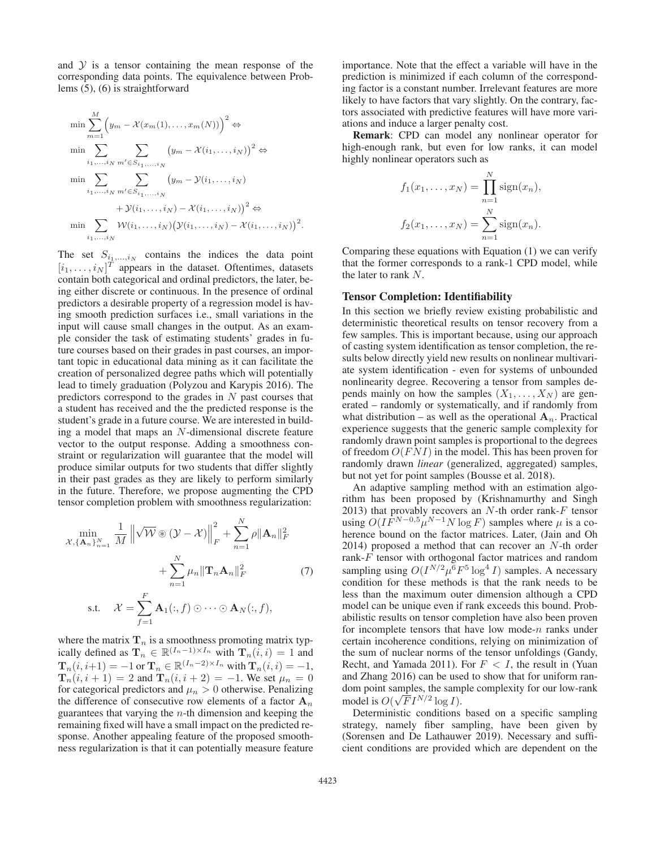and  $Y$  is a tensor containing the mean response of the corresponding data points. The equivalence between Problems (5), (6) is straightforward

$$
\min \sum_{m=1}^{M} \left( y_m - \mathcal{X}(x_m(1), \dots, x_m(N)) \right)^2 \Leftrightarrow
$$
  
\n
$$
\min \sum_{i_1, \dots, i_N} \sum_{m' \in S_{i_1, \dots, i_N}} \left( y_m - \mathcal{X}(i_1, \dots, i_N) \right)^2 \Leftrightarrow
$$
  
\n
$$
\min \sum_{i_1, \dots, i_N} \sum_{m' \in S_{i_1, \dots, i_N}} \left( y_m - \mathcal{Y}(i_1, \dots, i_N) \right)^2 \Leftrightarrow
$$
  
\n
$$
\min \sum_{i_1, \dots, i_N} \mathcal{W}(i_1, \dots, i_N) \left( \mathcal{Y}(i_1, \dots, i_N) - \mathcal{X}(i_1, \dots, i_N) \right)^2.
$$

The set  $S_{i_1,...,i_N}$  contains the indices the data point  $[i_1,\ldots,i_N]^T$  appears in the dataset. Oftentimes, datasets contain both categorical and ordinal predictors, the later, being either discrete or continuous. In the presence of ordinal predictors a desirable property of a regression model is having smooth prediction surfaces i.e., small variations in the input will cause small changes in the output. As an example consider the task of estimating students' grades in future courses based on their grades in past courses, an important topic in educational data mining as it can facilitate the creation of personalized degree paths which will potentially lead to timely graduation (Polyzou and Karypis 2016). The predictors correspond to the grades in  $N$  past courses that a student has received and the the predicted response is the student's grade in a future course. We are interested in building a model that maps an N-dimensional discrete feature vector to the output response. Adding a smoothness constraint or regularization will guarantee that the model will produce similar outputs for two students that differ slightly in their past grades as they are likely to perform similarly in the future. Therefore, we propose augmenting the CPD tensor completion problem with smoothness regularization:

$$
\min_{\mathcal{X}, \{\mathbf{A}_n\}_{n=1}^N} \frac{1}{M} \left\| \sqrt{\mathcal{W}} \circledast (\mathcal{Y} - \mathcal{X}) \right\|_F^2 + \sum_{n=1}^N \rho \|\mathbf{A}_n\|_F^2
$$
  
+ 
$$
\sum_{n=1}^N \mu_n \|\mathbf{T}_n \mathbf{A}_n\|_F^2
$$
(7)  
s.t. 
$$
\mathcal{X} = \sum_{f=1}^F \mathbf{A}_1(:,f) \odot \cdots \odot \mathbf{A}_N(:,f),
$$

where the matrix  $\mathbf{T}_n$  is a smoothness promoting matrix typically defined as  $\mathbf{T}_n \in \mathbb{R}^{(I_n-1)\times I_n}$  with  $\mathbf{T}_n(i, i)=1$  and  $\mathbf{T}_n(i, i+1) = -1$  or  $\mathbf{T}_n \in \mathbb{R}^{(I_n-2) \times I_n}$  with  $\mathbf{T}_n(i, i) = -1$ ,  $\mathbf{T}_n(i, i + 1) = 2$  and  $\mathbf{T}_n(i, i + 2) = -1$ . We set  $\mu_n = 0$ for categorical predictors and  $\mu_n > 0$  otherwise. Penalizing the difference of consecutive row elements of a factor  $A_n$ guarantees that varying the  $n$ -th dimension and keeping the remaining fixed will have a small impact on the predicted response. Another appealing feature of the proposed smoothness regularization is that it can potentially measure feature

importance. Note that the effect a variable will have in the prediction is minimized if each column of the corresponding factor is a constant number. Irrelevant features are more likely to have factors that vary slightly. On the contrary, factors associated with predictive features will have more variations and induce a larger penalty cost.

Remark: CPD can model any nonlinear operator for high-enough rank, but even for low ranks, it can model highly nonlinear operators such as

$$
f_1(x_1,...,x_N) = \prod_{n=1}^N \text{sign}(x_n),
$$
  

$$
f_2(x_1,...,x_N) = \sum_{n=1}^N \text{sign}(x_n).
$$

Comparing these equations with Equation (1) we can verify that the former corresponds to a rank-1 CPD model, while the later to rank N.

#### Tensor Completion: Identifiability

In this section we briefly review existing probabilistic and deterministic theoretical results on tensor recovery from a few samples. This is important because, using our approach of casting system identification as tensor completion, the results below directly yield new results on nonlinear multivariate system identification - even for systems of unbounded nonlinearity degree. Recovering a tensor from samples depends mainly on how the samples  $(X_1, \ldots, X_N)$  are generated – randomly or systematically, and if randomly from what distribution – as well as the operational  $A_n$ . Practical experience suggests that the generic sample complexity for randomly drawn point samples is proportional to the degrees of freedom  $O(FNI)$  in the model. This has been proven for randomly drawn *linear* (generalized, aggregated) samples, but not yet for point samples (Bousse et al. 2018).

An adaptive sampling method with an estimation algorithm has been proposed by (Krishnamurthy and Singh 2013) that provably recovers an  $N$ -th order rank- $F$  tensor using  $O(I\dot{F}^{N-0.5}\mu^{N-1}N\log F)$  samples where  $\mu$  is a coherence bound on the factor matrices. Later, (Jain and Oh  $2014$ ) proposed a method that can recover an  $N$ -th order rank-F tensor with orthogonal factor matrices and random sampling using  $O(I^{N/2} \mu^6 F^5 \log^4 I)$  samples. A necessary condition for these methods is that the rank needs to be less than the maximum outer dimension although a CPD model can be unique even if rank exceeds this bound. Probabilistic results on tensor completion have also been proven for incomplete tensors that have low mode- $n$  ranks under certain incoherence conditions, relying on minimization of the sum of nuclear norms of the tensor unfoldings (Gandy, Recht, and Yamada 2011). For  $F < I$ , the result in (Yuan and Zhang 2016) can be used to show that for uniform random point samples, the sample complexity for our low-rank model is  $O(\sqrt{F}I^{N/2}\log I)$ .

Deterministic conditions based on a specific sampling strategy, namely fiber sampling, have been given by (Sorensen and De Lathauwer 2019). Necessary and sufficient conditions are provided which are dependent on the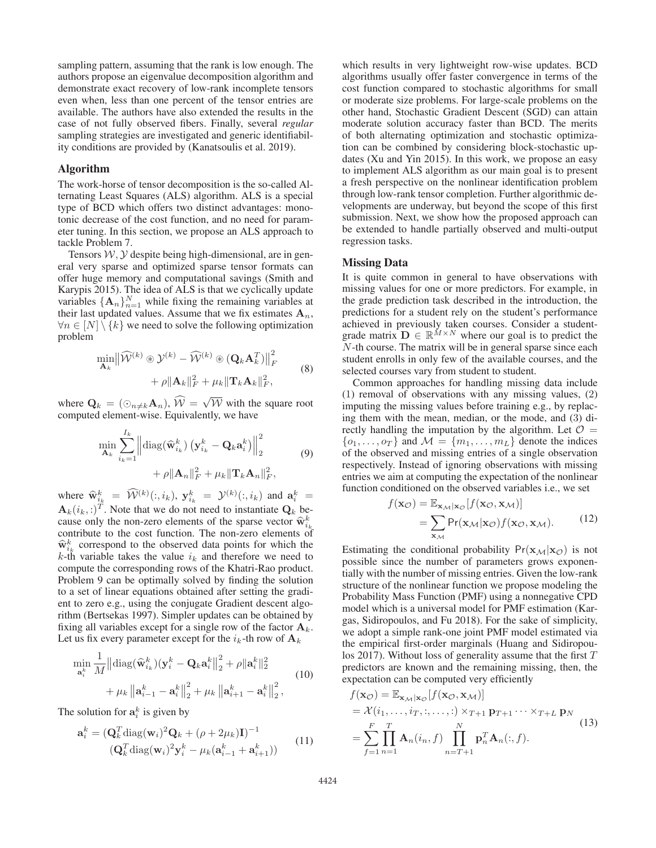sampling pattern, assuming that the rank is low enough. The authors propose an eigenvalue decomposition algorithm and demonstrate exact recovery of low-rank incomplete tensors even when, less than one percent of the tensor entries are available. The authors have also extended the results in the case of not fully observed fibers. Finally, several *regular* sampling strategies are investigated and generic identifiability conditions are provided by (Kanatsoulis et al. 2019).

#### Algorithm

The work-horse of tensor decomposition is the so-called Alternating Least Squares (ALS) algorithm. ALS is a special type of BCD which offers two distinct advantages: monotonic decrease of the cost function, and no need for parameter tuning. In this section, we propose an ALS approach to tackle Problem 7.

Tensors  $W, Y$  despite being high-dimensional, are in general very sparse and optimized sparse tensor formats can offer huge memory and computational savings (Smith and Karypis 2015). The idea of ALS is that we cyclically update variables  $\{\mathbf{A}_n\}_{n=1}^N$  while fixing the remaining variables at their last updated values. Assume that we fix estimates  $A_n$ ,  $\forall n \in [N] \setminus \{k\}$  we need to solve the following optimization problem

$$
\min_{\mathbf{A}_k} \left\| \widehat{\mathcal{W}}^{(k)} \circledast \mathcal{Y}^{(k)} - \widehat{\mathcal{W}}^{(k)} \circledast (\mathbf{Q}_k \mathbf{A}_k^T) \right\|_F^2
$$
  
+  $\rho \|\mathbf{A}_k\|_F^2 + \mu_k \|\mathbf{T}_k \mathbf{A}_k\|_F^2,$  (8)

where  $\mathbf{Q}_k = (\odot_{n \neq k} \mathbf{A}_n)$ ,  $\widehat{\mathcal{W}} = \sqrt{\mathcal{W}}$  with the square root computed element-wise. Equivalently, we have

$$
\min_{\mathbf{A}_k} \sum_{i_k=1}^{I_k} \left\| \text{diag}(\widehat{\mathbf{w}}_{i_k}^k) \left( \mathbf{y}_{i_k}^k - \mathbf{Q}_k \mathbf{a}_i^k \right) \right\|_2^2 + \rho \|\mathbf{A}_n\|_F^2 + \mu_k \|\mathbf{T}_k \mathbf{A}_n\|_F^2, \tag{9}
$$

where  $\widehat{\mathbf{w}}_{i_k}^k = \widehat{\mathcal{W}}^{(k)}(:, i_k), \mathbf{y}_{i_k}^k = \mathcal{Y}^{(k)}(:, i_k)$  and  $\mathbf{a}_i^k =$  $\mathbf{A}_k(i_k, j)$ <sup>T</sup>. Note that we do not need to instantiate  $\mathbf{Q}_k$  because only the non-zero elements of the sparse vector  $\widehat{\mathbf{w}}_{i_k}^k$ contribute to the cost function. The non-zero elements of  $\hat{w}_{i,k}^k$  correspond to the observed data points for which the k-th variable takes the value  $i_k$  and therefore we need to compute the corresponding rows of the Khatri-Rao product. Problem 9 can be optimally solved by finding the solution to a set of linear equations obtained after setting the gradient to zero e.g., using the conjugate Gradient descent algorithm (Bertsekas 1997). Simpler updates can be obtained by fixing all variables except for a single row of the factor  $A_k$ . Let us fix every parameter except for the  $i_k$ -th row of  $\mathbf{A}_k$ 

$$
\min_{\mathbf{a}_{i}^{k}} \frac{1}{M} \left\| \text{diag}(\widehat{\mathbf{w}}_{i_{k}}^{k})(\mathbf{y}_{i}^{k} - \mathbf{Q}_{k} \mathbf{a}_{i}^{k} \right\|_{2}^{2} + \rho \|\mathbf{a}_{i}^{k}\|_{2}^{2} + \mu_{k} \left\| \mathbf{a}_{i-1}^{k} - \mathbf{a}_{i}^{k} \right\|_{2}^{2} + \mu_{k} \left\| \mathbf{a}_{i+1}^{k} - \mathbf{a}_{i}^{k} \right\|_{2}^{2},
$$
\n(10)

The solution for  $a_i^k$  is given by

$$
\mathbf{a}_{i}^{k} = (\mathbf{Q}_{k}^{T} \text{diag}(\mathbf{w}_{i})^{2} \mathbf{Q}_{k} + (\rho + 2\mu_{k})\mathbf{I})^{-1}
$$
  

$$
(\mathbf{Q}_{k}^{T} \text{diag}(\mathbf{w}_{i})^{2} \mathbf{y}_{i}^{k} - \mu_{k}(\mathbf{a}_{i-1}^{k} + \mathbf{a}_{i+1}^{k}))
$$
(11)

which results in very lightweight row-wise updates. BCD algorithms usually offer faster convergence in terms of the cost function compared to stochastic algorithms for small or moderate size problems. For large-scale problems on the other hand, Stochastic Gradient Descent (SGD) can attain moderate solution accuracy faster than BCD. The merits of both alternating optimization and stochastic optimization can be combined by considering block-stochastic updates (Xu and Yin 2015). In this work, we propose an easy to implement ALS algorithm as our main goal is to present a fresh perspective on the nonlinear identification problem through low-rank tensor completion. Further algorithmic developments are underway, but beyond the scope of this first submission. Next, we show how the proposed approach can be extended to handle partially observed and multi-output regression tasks.

#### Missing Data

It is quite common in general to have observations with missing values for one or more predictors. For example, in the grade prediction task described in the introduction, the predictions for a student rely on the student's performance achieved in previously taken courses. Consider a studentgrade matrix  $\mathbf{D} \in \mathbb{R}^{M \times N}$  where our goal is to predict the N-th course. The matrix will be in general sparse since each student enrolls in only few of the available courses, and the selected courses vary from student to student.

Common approaches for handling missing data include (1) removal of observations with any missing values, (2) imputing the missing values before training e.g., by replacing them with the mean, median, or the mode, and (3) directly handling the imputation by the algorithm. Let  $\mathcal{O}$  =  $\{o_1,\ldots,o_T\}$  and  $\mathcal{M} = \{m_1,\ldots,m_L\}$  denote the indices of the observed and missing entries of a single observation respectively. Instead of ignoring observations with missing entries we aim at computing the expectation of the nonlinear function conditioned on the observed variables i.e., we set

$$
f(\mathbf{x}_{\mathcal{O}}) = \mathbb{E}_{\mathbf{x}_{\mathcal{M}}|\mathbf{x}_{\mathcal{O}}}[f(\mathbf{x}_{\mathcal{O}}, \mathbf{x}_{\mathcal{M}})]
$$
  
= 
$$
\sum_{\mathbf{x}_{\mathcal{M}}} \Pr(\mathbf{x}_{\mathcal{M}}|\mathbf{x}_{\mathcal{O}}) f(\mathbf{x}_{\mathcal{O}}, \mathbf{x}_{\mathcal{M}}).
$$
 (12)

Estimating the conditional probability  $Pr(\mathbf{x}_M|\mathbf{x}_O)$  is not possible since the number of parameters grows exponentially with the number of missing entries. Given the low-rank structure of the nonlinear function we propose modeling the Probability Mass Function (PMF) using a nonnegative CPD model which is a universal model for PMF estimation (Kargas, Sidiropoulos, and Fu 2018). For the sake of simplicity, we adopt a simple rank-one joint PMF model estimated via the empirical first-order marginals (Huang and Sidiropoulos 2017). Without loss of generality assume that the first T predictors are known and the remaining missing, then, the expectation can be computed very efficiently

$$
f(\mathbf{x}_{\mathcal{O}}) = \mathbb{E}_{\mathbf{x}_{\mathcal{M}}|\mathbf{x}_{\mathcal{O}}}[f(\mathbf{x}_{\mathcal{O}}, \mathbf{x}_{\mathcal{M}})]
$$
  
\n
$$
= \mathcal{X}(i_1, \dots, i_T, \dots, \dots) \times_{T+1} \mathbf{p}_{T+1} \cdots \times_{T+L} \mathbf{p}_N
$$
  
\n
$$
= \sum_{f=1}^{F} \prod_{n=1}^{T} \mathbf{A}_n(i_n, f) \prod_{n=T+1}^{N} \mathbf{p}_n^T \mathbf{A}_n(\dots f).
$$
\n(13)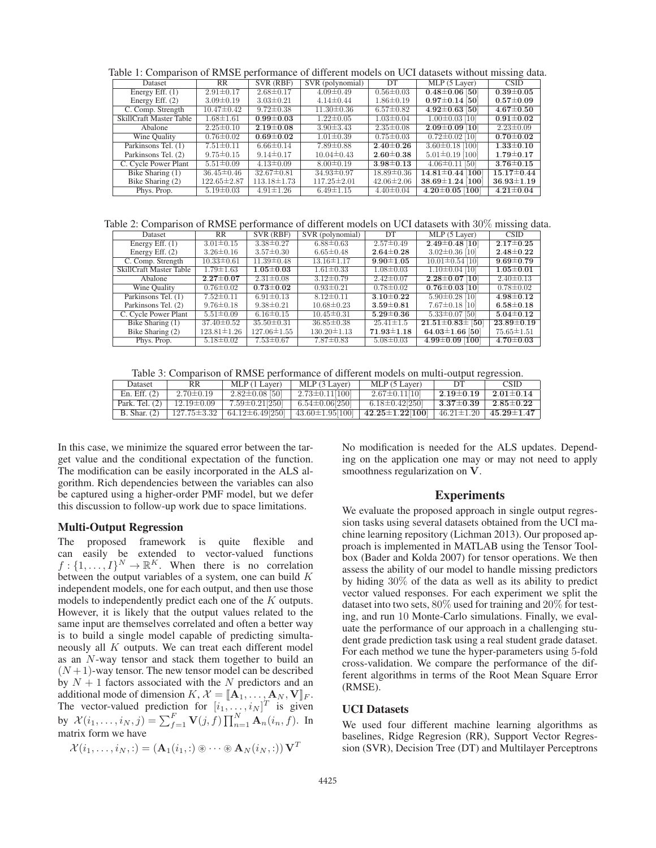Table 1: Comparison of RMSE performance of different models on UCI datasets without missing data.

| Dataset                 | <b>RR</b>         | SVR (RBF)         | SVR (polynomial)  | DT               | MLP (5 Layer)          | <b>CSID</b>      |
|-------------------------|-------------------|-------------------|-------------------|------------------|------------------------|------------------|
| Energy Eff. $(1)$       | $2.91 \pm 0.17$   | $2.68 \pm 0.17$   | $4.09 \pm 0.49$   | $0.56 \pm 0.03$  | $0.48 \pm 0.06$ [50]   | $0.39 \pm 0.05$  |
| Energy Eff. $(2)$       | $3.09 \pm 0.19$   | $3.03 \pm 0.21$   | $4.14\pm0.44$     | $1.86 \pm 0.19$  | $0.97 \pm 0.14$ [50]   | $0.57 \pm 0.09$  |
| C. Comp. Strength       | $10.47 \pm 0.42$  | $9.72 \pm 0.38$   | $11.30 \pm 0.36$  | $6.57 \pm 0.82$  | $4.92 \pm 0.63$ [50]   | $4.67 \pm 0.50$  |
| SkillCraft Master Table | $1.68 \pm 1.61$   | $0.99 \pm 0.03$   | $1.22 \pm 0.05$   | $1.03 \pm 0.04$  | $1.00 \pm 0.03$ [10]   | $0.91 \pm 0.02$  |
| Abalone                 | $2.25 \pm 0.10$   | $2.19 \pm 0.08$   | $3.90 \pm 3.43$   | $2.35 \pm 0.08$  | $2.09 \pm 0.09$ [10]   | $2.23 \pm 0.09$  |
| Wine Quality            | $0.76 \pm 0.02$   | $0.69 \pm 0.02$   | $1.01 \pm 0.39$   | $0.75 \pm 0.03$  | $0.72\pm0.02$ [10]     | $0.70 \pm 0.02$  |
| Parkinsons Tel. (1)     | $7.51 \pm 0.11$   | $6.66 \pm 0.14$   | $7.89 \pm 0.88$   | $2.40 \pm 0.26$  | $3.60 \pm 0.18$ [100]  | $1.33 \pm 0.10$  |
| Parkinsons Tel. (2)     | $9.75 \pm 0.15$   | $9.14 \pm 0.17$   | $10.04 \pm 0.43$  | $2.60 \pm 0.38$  | $5.01 \pm 0.19$ [100]  | $1.79 \pm 0.17$  |
| C. Cycle Power Plant    | $5.51 \pm 0.09$   | $4.13 \pm 0.09$   | $8.00 \pm 0.19$   | $3.98 \pm 0.13$  | $4.06\pm0.11$ [50]     | $3.76 \pm 0.15$  |
| Bike Sharing (1)        | $36.45 \pm 0.46$  | $32.67 \pm 0.81$  | $34.93 \pm 0.97$  | $18.89 \pm 0.36$ | $14.81 \pm 0.44$ [100] | $15.17 \pm 0.44$ |
| Bike Sharing (2)        | $122.65 \pm 2.87$ | $113.18 \pm 1.73$ | $117.25 \pm 2.01$ | $42.06 \pm 2.06$ | $38.69 \pm 1.24$ [100] | $36.93 \pm 1.19$ |
| Phys. Prop.             | $5.19 \pm 0.03$   | $4.91 \pm 1.26$   | $6.49 \pm 1.15$   | $4.40 \pm 0.04$  | $4.20 \pm 0.05$ [100]  | $4.21 \pm 0.04$  |

Table 2: Comparison of RMSE performance of different models on UCI datasets with 30% missing data.

| Dataset                 | RR.               | SVR (RBF)         | SVR (polynomial)  | DT               | MLP (5 Layer)          | <b>CSID</b>      |
|-------------------------|-------------------|-------------------|-------------------|------------------|------------------------|------------------|
| Energy Eff. $(1)$       | $3.01 \pm 0.15$   | $3.38 \pm 0.27$   | $6.88 \pm 0.63$   | $2.57 \pm 0.49$  | $2.49\pm0.48$ [10]     | $2.17 \pm 0.25$  |
| Energy Eff. $(2)$       | $3.26 \pm 0.16$   | $3.57 \pm 0.30$   | $6.65 \pm 0.48$   | $2.64 \pm 0.28$  | $3.02 \pm 0.36$ [10]   | $2.48 \pm 0.22$  |
| C. Comp. Strength       | $10.33 \pm 0.61$  | $11.39 \pm 0.48$  | $13.16 \pm 1.17$  | $9.90 \pm 1.05$  | $10.01 \pm 0.54$ [10]  | $9.69 \pm 0.79$  |
| SkillCraft Master Table | $1.79 \pm 1.63$   | $1.05 \pm 0.03$   | $1.61 \pm 0.33$   | $1.08 \pm 0.03$  | $1.10\pm0.04$ [10]     | $1.05 \pm 0.01$  |
| Abalone                 | $2.27 \pm 0.07$   | $2.31 \pm 0.08$   | $3.12 \pm 0.79$   | $2.42 \pm 0.07$  | $2.28\pm0.07$ [10]     | $2.40 \pm 0.13$  |
| Wine Quality            | $0.76 \pm 0.02$   | $0.73 \pm 0.02$   | $0.93 \pm 0.21$   | $0.78 \pm 0.02$  | $0.76 \pm 0.03$ [10]   | $0.78 \pm 0.02$  |
| Parkinsons Tel. (1)     | $7.52 \pm 0.11$   | $6.91 \pm 0.13$   | $8.12 \pm 0.11$   | $3.10 \pm 0.22$  | $5.90 \pm 0.28$ [10]   | $4.98 \pm 0.12$  |
| Parkinsons Tel. (2)     | $9.76 \pm 0.18$   | $9.38 \pm 0.21$   | $10.68 \pm 0.23$  | $3.59 \pm 0.81$  | $7.67 \pm 0.18$ [10]   | $6.58 \pm 0.18$  |
| C. Cycle Power Plant    | $5.51 \pm 0.09$   | $6.16 \pm 0.15$   | $10.45 \pm 0.31$  | $5.29 \pm 0.36$  | $5.33\pm0.07$ [50]     | $5.04 \pm 0.12$  |
| Bike Sharing (1)        | $37.40 \pm 0.52$  | $35.50 \pm 0.31$  | $36.85 \pm 0.38$  | $25.41 \pm 1.5$  | $21.51\pm0.83\pm$ [50] | $23.89 \pm 0.19$ |
| Bike Sharing (2)        | $123.81 \pm 1.26$ | $127.06 \pm 1.55$ | $130.20 \pm 1.13$ | $71.93 \pm 1.18$ | $64.03 \pm 1.66$ [50]  | $75.65 \pm 1.51$ |
| Phys. Prop.             | $5.18 \pm 0.02$   | $7.53 \pm 0.67$   | $7.87 \pm 0.83$   | $5.08 \pm 0.03$  | $4.99 \pm 0.09$ [100]  | $4.70 \pm 0.03$  |

Table 3: Comparison of RMSE performance of different models on multi-output regression.

| <b>Dataset</b>   | RR.              | MLP (1 Layer)          | MLP (3 Layer)          | MLP (5 Layer)             | DT              | <b>CSID</b>                         |
|------------------|------------------|------------------------|------------------------|---------------------------|-----------------|-------------------------------------|
| En. Eff. $(2)$   | $2.70 \pm 0.19$  | $2.82 \pm 0.08$ [50]   | $2.73 \pm 0.11$ [100]  | $2.67 \pm 0.11110$        | $2.19 \pm 0.19$ | $2.01 \pm 0.14$                     |
| Park. Tel. $(2)$ | $12.19 \pm 0.09$ | $7.59 \pm 0.21$ [250]  | $6.54 \pm 0.06250$     | $6.18 \pm 0.42$ [250]     |                 | $3.37{\pm}0.39$   $2.85{\pm}0.22$   |
| $B.$ Shar. $(2)$ | 127.75±3.32      | $64.12 \pm 6.49$ [250] | $43.60 \pm 1.95$ [100] | $42.25 \pm 1.22 \, [100]$ |                 | $46.21 \pm 1.20$   $45.29 \pm 1.47$ |

In this case, we minimize the squared error between the target value and the conditional expectation of the function. The modification can be easily incorporated in the ALS algorithm. Rich dependencies between the variables can also be captured using a higher-order PMF model, but we defer this discussion to follow-up work due to space limitations.

#### Multi-Output Regression

The proposed framework is quite flexible and can easily be extended to vector-valued functions  $f: \{1, \ldots, I\}^N \to \mathbb{R}^K$ . When there is no correlation between the output variables of a system, one can build K independent models, one for each output, and then use those models to independently predict each one of the K outputs. However, it is likely that the output values related to the same input are themselves correlated and often a better way is to build a single model capable of predicting simultaneously all K outputs. We can treat each different model as an N-way tensor and stack them together to build an  $(N+1)$ -way tensor. The new tensor model can be described by  $N + 1$  factors associated with the N predictors and an additional mode of dimension  $K, \mathcal{X} = [\mathbf{A}_1, \dots, \mathbf{A}_N, \mathbf{V}]_F$ . The vector-valued prediction for  $[i_1, \ldots, i_N]^T$  is given by  $\mathcal{X}(i_1, ..., i_N, j) = \sum_{f=1}^{F} \mathbf{V}(j, f) \prod_{n=1}^{N} \mathbf{A}_n(i_n, f)$ . In matrix form we have

$$
\mathcal{X}(i_1,\ldots,i_N,:)=(\mathbf{A}_1(i_1,:)\circledast\cdots\circledast\mathbf{A}_N(i_N,:))\,\mathbf{V}^T
$$

No modification is needed for the ALS updates. Depending on the application one may or may not need to apply smoothness regularization on **V**.

## Experiments

We evaluate the proposed approach in single output regression tasks using several datasets obtained from the UCI machine learning repository (Lichman 2013). Our proposed approach is implemented in MATLAB using the Tensor Toolbox (Bader and Kolda 2007) for tensor operations. We then assess the ability of our model to handle missing predictors by hiding 30% of the data as well as its ability to predict vector valued responses. For each experiment we split the dataset into two sets, 80% used for training and 20% for testing, and run 10 Monte-Carlo simulations. Finally, we evaluate the performance of our approach in a challenging student grade prediction task using a real student grade dataset. For each method we tune the hyper-parameters using 5-fold cross-validation. We compare the performance of the different algorithms in terms of the Root Mean Square Error (RMSE).

#### UCI Datasets

We used four different machine learning algorithms as baselines, Ridge Regresion (RR), Support Vector Regression (SVR), Decision Tree (DT) and Multilayer Perceptrons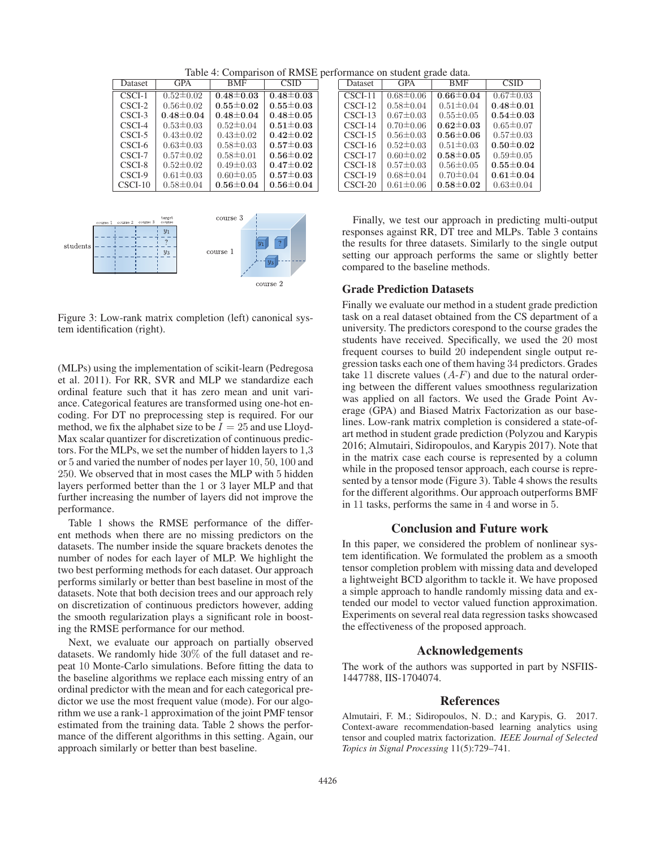Table 4: Comparison of RMSE performance on student grade data.

| Dataset   | <b>GPA</b>      | <b>BMF</b>      | <b>CSID</b>     |
|-----------|-----------------|-----------------|-----------------|
| CSCI-1    | $0.52 \pm 0.02$ | $0.48 \pm 0.03$ | $0.48 \pm 0.03$ |
| $CSCI-2$  | $0.56 \pm 0.02$ | $0.55 \pm 0.02$ | $0.55 \pm 0.03$ |
| CSCI-3    | $0.48 \pm 0.04$ | $0.48 \pm 0.04$ | $0.48 \pm 0.05$ |
| CSCI-4    | $0.53 \pm 0.03$ | $0.52 \pm 0.04$ | $0.51 \pm 0.03$ |
| CSCI-5    | $0.43 \pm 0.02$ | $0.43 \pm 0.02$ | $0.42 \pm 0.02$ |
| CSCL-6    | $0.63 \pm 0.03$ | $0.58 \pm 0.03$ | $0.57 \pm 0.03$ |
| CSCI-7    | $0.57 \pm 0.02$ | $0.58 \pm 0.01$ | $0.56 \pm 0.02$ |
| CSCI-8    | $0.52 \pm 0.02$ | $0.49 \pm 0.03$ | $0.47 \pm 0.02$ |
| CSCI-9    | $0.61 \pm 0.03$ | $0.60 \pm 0.05$ | $0.57 \pm 0.03$ |
| $CSCI-10$ | $0.58 \pm 0.04$ | $0.56 \pm 0.04$ | $0.56 \pm 0.04$ |
|           |                 |                 |                 |
|           |                 |                 |                 |



Figure 3: Low-rank matrix completion (left) canonical system identification (right).

(MLPs) using the implementation of scikit-learn (Pedregosa et al. 2011). For RR, SVR and MLP we standardize each ordinal feature such that it has zero mean and unit variance. Categorical features are transformed using one-hot encoding. For DT no preprocessing step is required. For our method, we fix the alphabet size to be  $I = 25$  and use Lloyd-Max scalar quantizer for discretization of continuous predictors. For the MLPs, we set the number of hidden layers to 1,3 or 5 and varied the number of nodes per layer 10, 50, 100 and 250. We observed that in most cases the MLP with 5 hidden layers performed better than the 1 or 3 layer MLP and that further increasing the number of layers did not improve the performance.

Table 1 shows the RMSE performance of the different methods when there are no missing predictors on the datasets. The number inside the square brackets denotes the number of nodes for each layer of MLP. We highlight the two best performing methods for each dataset. Our approach performs similarly or better than best baseline in most of the datasets. Note that both decision trees and our approach rely on discretization of continuous predictors however, adding the smooth regularization plays a significant role in boosting the RMSE performance for our method.

Next, we evaluate our approach on partially observed datasets. We randomly hide 30% of the full dataset and repeat 10 Monte-Carlo simulations. Before fitting the data to the baseline algorithms we replace each missing entry of an ordinal predictor with the mean and for each categorical predictor we use the most frequent value (mode). For our algorithm we use a rank-1 approximation of the joint PMF tensor estimated from the training data. Table 2 shows the performance of the different algorithms in this setting. Again, our approach similarly or better than best baseline.

| Dataset   | <b>GPA</b>      | <b>BMF</b>      | <b>CSID</b>     |
|-----------|-----------------|-----------------|-----------------|
| $CSCI-11$ | $0.68 \pm 0.06$ | $0.66 \pm 0.04$ | $0.67 \pm 0.03$ |
| CSCI-12   | $0.58 \pm 0.04$ | $0.51 \pm 0.04$ | $0.48 \pm 0.01$ |
| $CSCI-13$ | $0.67 \pm 0.03$ | $0.55 \pm 0.05$ | $0.54 \pm 0.03$ |
| $CSCI-14$ | $0.70 \pm 0.06$ | $0.62 \pm 0.03$ | $0.65 \pm 0.07$ |
| $CSCI-15$ | $0.56 \pm 0.03$ | $0.56 \pm 0.06$ | $0.57 \pm 0.03$ |
| $CSCI-16$ | $0.52 \pm 0.03$ | $0.51 \pm 0.03$ | $0.50 \pm 0.02$ |
| CSCI-17   | $0.60 \pm 0.02$ | $0.58 \pm 0.05$ | $0.59 \pm 0.05$ |
| CSCI-18   | $0.57 \pm 0.03$ | $0.56 \pm 0.05$ | $0.55 \pm 0.04$ |
| CSCI-19   | $0.68 \pm 0.04$ | $0.70 \pm 0.04$ | $0.61 \pm 0.04$ |
| $CSCI-20$ | $0.61 \pm 0.06$ | $0.58 \pm 0.02$ | $0.63 \pm 0.04$ |

Finally, we test our approach in predicting multi-output responses against RR, DT tree and MLPs. Table 3 contains the results for three datasets. Similarly to the single output setting our approach performs the same or slightly better compared to the baseline methods.

#### Grade Prediction Datasets

Finally we evaluate our method in a student grade prediction task on a real dataset obtained from the CS department of a university. The predictors corespond to the course grades the students have received. Specifically, we used the 20 most frequent courses to build 20 independent single output regression tasks each one of them having 34 predictors. Grades take 11 discrete values  $(A-F)$  and due to the natural ordering between the different values smoothness regularization was applied on all factors. We used the Grade Point Average (GPA) and Biased Matrix Factorization as our baselines. Low-rank matrix completion is considered a state-ofart method in student grade prediction (Polyzou and Karypis 2016; Almutairi, Sidiropoulos, and Karypis 2017). Note that in the matrix case each course is represented by a column while in the proposed tensor approach, each course is represented by a tensor mode (Figure 3). Table 4 shows the results for the different algorithms. Our approach outperforms BMF in 11 tasks, performs the same in 4 and worse in 5.

# Conclusion and Future work

In this paper, we considered the problem of nonlinear system identification. We formulated the problem as a smooth tensor completion problem with missing data and developed a lightweight BCD algorithm to tackle it. We have proposed a simple approach to handle randomly missing data and extended our model to vector valued function approximation. Experiments on several real data regression tasks showcased the effectiveness of the proposed approach.

# Acknowledgements

The work of the authors was supported in part by NSFIIS-1447788, IIS-1704074.

### References

Almutairi, F. M.; Sidiropoulos, N. D.; and Karypis, G. 2017. Context-aware recommendation-based learning analytics using tensor and coupled matrix factorization. *IEEE Journal of Selected Topics in Signal Processing* 11(5):729–741.